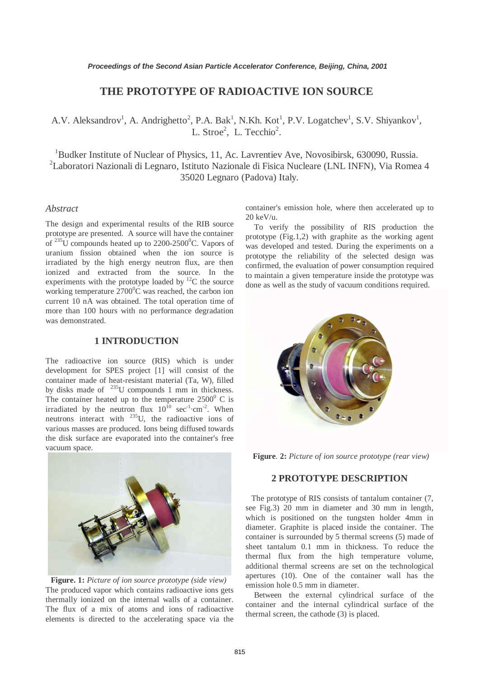## **THE PROTOTYPE OF RADIOACTIVE ION SOURCE**

# A.V. Aleksandrov<sup>1</sup>, A. Andrighetto<sup>2</sup>, P.A. Bak<sup>1</sup>, N.Kh. Kot<sup>1</sup>, P.V. Logatchev<sup>1</sup>, S.V. Shiyankov<sup>1</sup>, L. Stroe<sup>2</sup>, L. Tecchio<sup>2</sup>.

<sup>1</sup>Budker Institute of Nuclear of Physics, 11, Ac. Lavrentiev Ave, Novosibirsk, 630090, Russia. <sup>2</sup>Laboratori Nazionali di Legnaro, Istituto Nazionale di Fisica Nucleare (LNL INFN), Via Romea 4 35020 Legnaro (Padova) Italy.

#### *Abstract*

The design and experimental results of the RIB source prototype are presented. A source will have the container of  $^{235}$ U compounds heated up to  $2200$ - $2500$ <sup>0</sup>C. Vapors of uranium fission obtained when the ion source is irradiated by the high energy neutron flux, are then ionized and extracted from the source. In the experiments with the prototype loaded by  ${}^{12}C$  the source working temperature  $2700^{\circ}$ C was reached, the carbon ion current 10 nA was obtained. The total operation time of more than 100 hours with no performance degradation was demonstrated.

### **1 INTRODUCTION**

The radioactive ion source (RIS) which is under development for SPES project [1] will consist of the container made of heat-resistant material (Ta, W), filled by disks made of  $^{235}$ U compounds 1 mm in thickness. The container heated up to the temperature  $2500^{\circ}$  C is irradiated by the neutron flux  $10^{10}$  sec<sup>-1</sup>·cm<sup>-2</sup>. When neutrons interact with  $^{235}$ U, the radioactive ions of various masses are produced. Ions being diffused towards the disk surface are evaporated into the container's free vacuum space.



**Figure. 1:** *Picture of ion source prototype (side view)* The produced vapor which contains radioactive ions gets thermally ionized on the internal walls of a container. The flux of a mix of atoms and ions of radioactive elements is directed to the accelerating space via the

container's emission hole, where then accelerated up to 20 keV/u.

 To verify the possibility of RIS production the prototype (Fig.1,2) with graphite as the working agent was developed and tested. During the experiments on a prototype the reliability of the selected design was confirmed, the evaluation of power consumption required to maintain a given temperature inside the prototype was done as well as the study of vacuum conditions required.



**Figure**. **2:** *Picture of ion source prototype (rear view)*

### **2 PROTOTYPE DESCRIPTION**

The prototype of RIS consists of tantalum container (7, see Fig.3) 20 mm in diameter and 30 mm in length, which is positioned on the tungsten holder 4mm in diameter. Graphite is placed inside the container. The container is surrounded by 5 thermal screens (5) made of sheet tantalum 0.1 mm in thickness. To reduce the thermal flux from the high temperature volume, additional thermal screens are set on the technological apertures (10). One of the container wall has the emission hole 0.5 mm in diameter.

 Between the external cylindrical surface of the container and the internal cylindrical surface of the thermal screen, the cathode (3) is placed.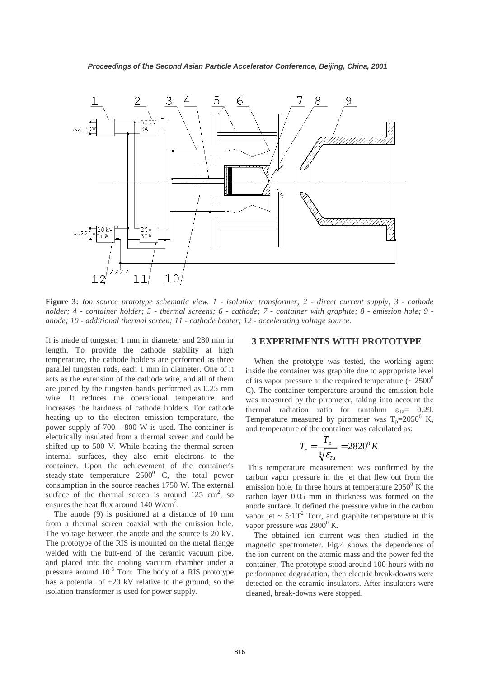

**Figure 3:** *Ion source prototype schematic view. 1 - isolation transformer; 2 - direct current supply; 3 - cathode holder; 4 - container holder; 5 - thermal screens; 6 - cathode; 7 - container with graphite; 8 - emission hole; 9 anode; 10 - additional thermal screen; 11 - cathode heater; 12 - accelerating voltage source.* 

It is made of tungsten 1 mm in diameter and 280 mm in length. To provide the cathode stability at high temperature, the cathode holders are performed as three parallel tungsten rods, each 1 mm in diameter. One of it acts as the extension of the cathode wire, and all of them are joined by the tungsten bands performed as 0.25 mm wire. It reduces the operational temperature and increases the hardness of cathode holders. For cathode heating up to the electron emission temperature, the power supply of 700 - 800 W is used. The container is electrically insulated from a thermal screen and could be shifted up to 500 V. While heating the thermal screen internal surfaces, they also emit electrons to the container. Upon the achievement of the container's steady-state temperature  $2500^{\circ}$  C, the total power consumption in the source reaches 1750 W. The external surface of the thermal screen is around  $125 \text{ cm}^2$ , so ensures the heat flux around  $140 \text{ W/cm}^2$ .

 The anode (9) is positioned at a distance of 10 mm from a thermal screen coaxial with the emission hole. The voltage between the anode and the source is 20 kV. The prototype of the RIS is mounted on the metal flange welded with the butt-end of the ceramic vacuum pipe, and placed into the cooling vacuum chamber under a pressure around  $10^{-5}$  Torr. The body of a RIS prototype has a potential of +20 kV relative to the ground, so the isolation transformer is used for power supply.

#### **3 EXPERIMENTS WITH PROTOTYPE**

 When the prototype was tested, the working agent inside the container was graphite due to appropriate level of its vapor pressure at the required temperature ( $\sim 2500^0$ C). The container temperature around the emission hole was measured by the pirometer, taking into account the thermal radiation ratio for tantalum  $\varepsilon_{Ta} = 0.29$ . Temperature measured by pirometer was  $T_p = 2050^\circ$  K, and temperature of the container was calculated as:

$$
T_c = \frac{T_p}{\sqrt[4]{\mathcal{E}_{Ta}}} = 2820^{\circ} K
$$

 This temperature measurement was confirmed by the carbon vapor pressure in the jet that flew out from the emission hole. In three hours at temperature  $2050^{\circ}$  K the carbon layer 0.05 mm in thickness was formed on the anode surface. It defined the pressure value in the carbon vapor jet  $\sim 5.10^{-2}$  Torr, and graphite temperature at this vapor pressure was  $2800^{\circ}$  K.

 The obtained ion current was then studied in the magnetic spectrometer. Fig.4 shows the dependence of the ion current on the atomic mass and the power fed the container. The prototype stood around 100 hours with no performance degradation, then electric break-downs were detected on the ceramic insulators. After insulators were cleaned, break-downs were stopped.